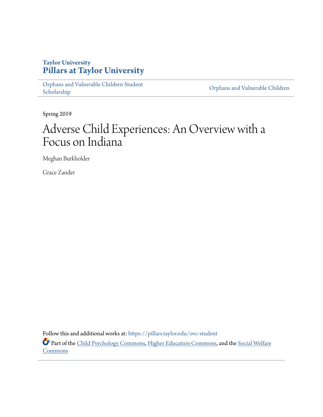# **Taylor University [Pillars at Taylor University](https://pillars.taylor.edu/?utm_source=pillars.taylor.edu%2Fovc-student%2F2&utm_medium=PDF&utm_campaign=PDFCoverPages)**

[Orphans and Vulnerable Children Student](https://pillars.taylor.edu/ovc-student?utm_source=pillars.taylor.edu%2Fovc-student%2F2&utm_medium=PDF&utm_campaign=PDFCoverPages) Orphans and Vulnerable Children<br>[Scholarship](https://pillars.taylor.edu/ovc-student?utm_source=pillars.taylor.edu%2Fovc-student%2F2&utm_medium=PDF&utm_campaign=PDFCoverPages) Children<br>Scholarship

Spring 2019

# Adverse Child Experiences: An Overview with a Focus on Indiana

Meghan Burkholder

Grace Zander

Follow this and additional works at: [https://pillars.taylor.edu/ovc-student](https://pillars.taylor.edu/ovc-student?utm_source=pillars.taylor.edu%2Fovc-student%2F2&utm_medium=PDF&utm_campaign=PDFCoverPages)

Part of the [Child Psychology Commons](http://network.bepress.com/hgg/discipline/1023?utm_source=pillars.taylor.edu%2Fovc-student%2F2&utm_medium=PDF&utm_campaign=PDFCoverPages), [Higher Education Commons](http://network.bepress.com/hgg/discipline/1245?utm_source=pillars.taylor.edu%2Fovc-student%2F2&utm_medium=PDF&utm_campaign=PDFCoverPages), and the [Social Welfare](http://network.bepress.com/hgg/discipline/401?utm_source=pillars.taylor.edu%2Fovc-student%2F2&utm_medium=PDF&utm_campaign=PDFCoverPages) **[Commons](http://network.bepress.com/hgg/discipline/401?utm_source=pillars.taylor.edu%2Fovc-student%2F2&utm_medium=PDF&utm_campaign=PDFCoverPages)**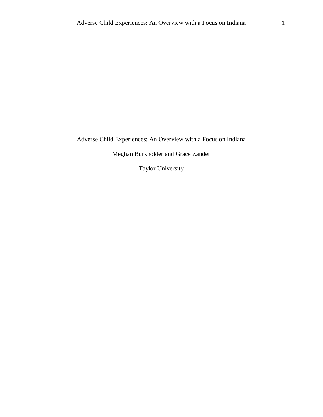Adverse Child Experiences: An Overview with a Focus on Indiana

Meghan Burkholder and Grace Zander

Taylor University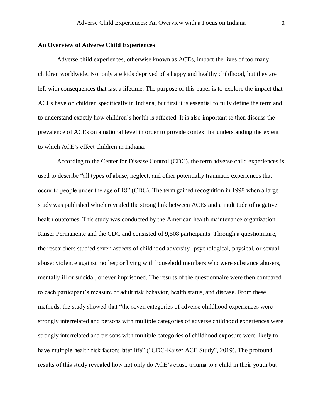#### **An Overview of Adverse Child Experiences**

Adverse child experiences, otherwise known as ACEs, impact the lives of too many children worldwide. Not only are kids deprived of a happy and healthy childhood, but they are left with consequences that last a lifetime. The purpose of this paper is to explore the impact that ACEs have on children specifically in Indiana, but first it is essential to fully define the term and to understand exactly how children's health is affected. It is also important to then discuss the prevalence of ACEs on a national level in order to provide context for understanding the extent to which ACE's effect children in Indiana.

According to the Center for Disease Control (CDC), the term adverse child experiences is used to describe "all types of abuse, neglect, and other potentially traumatic experiences that occur to people under the age of 18" (CDC). The term gained recognition in 1998 when a large study was published which revealed the strong link between ACEs and a multitude of negative health outcomes. This study was conducted by the American health maintenance organization Kaiser Permanente and the CDC and consisted of 9,508 participants. Through a questionnaire, the researchers studied seven aspects of childhood adversity- psychological, physical, or sexual abuse; violence against mother; or living with household members who were substance abusers, mentally ill or suicidal, or ever imprisoned. The results of the questionnaire were then compared to each participant's measure of adult risk behavior, health status, and disease. From these methods, the study showed that "the seven categories of adverse childhood experiences were strongly interrelated and persons with multiple categories of adverse childhood experiences were strongly interrelated and persons with multiple categories of childhood exposure were likely to have multiple health risk factors later life" ("CDC-Kaiser ACE Study", 2019). The profound results of this study revealed how not only do ACE's cause trauma to a child in their youth but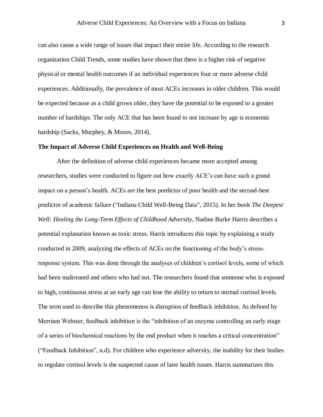can also cause a wide range of issues that impact their entire life. According to the research organization Child Trends, some studies have shown that there is a higher risk of negative physical or mental health outcomes if an individual experiences four or more adverse child experiences. Additionally, the prevalence of most ACEs increases in older children. This would be expected because as a child grows older, they have the potential to be exposed to a greater number of hardships. The only ACE that has been found to not increase by age is economic hardship (Sacks, Murphey, & Moore, 2014).

#### **The Impact of Adverse Child Experiences on Health and Well-Being**

After the definition of adverse child experiences became more accepted among researchers, studies were conducted to figure out how exactly ACE's can have such a grand impact on a person's health. ACEs are the best predictor of poor health and the second-best predictor of academic failure ("Indiana Child Well-Being Data", 2015). In her book *The Deepest Well: Healing the Long-Term Effects of Childhood Adversity, Nadine Burke Harris describes a* potential explanation known as toxic stress. Harris introduces this topic by explaining a study conducted in 2009, analyzing the effects of ACEs on the functioning of the body's stressresponse system. This was done through the analyses of children's cortisol levels, some of which had been maltreated and others who had not. The researchers found that someone who is exposed to high, continuous stress at an early age can lose the ability to return to normal cortisol levels. The term used to describe this phenomenon is disruption of feedback inhibition. As defined by Merriam Webster, feedback inhibition is the "inhibition of an enzyme controlling an early stage of a series of biochemical reactions by the end product when it reaches a critical concentration" ("Feedback Inhibition", n.d). For children who experience adversity, the inability for their bodies to regulate cortisol levels is the suspected cause of later health issues. Harris summarizes this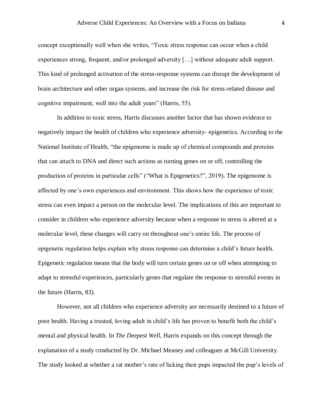concept exceptionally well when she writes, "Toxic stress response can occur when a child experiences strong, frequent, and/or prolonged adversity […] without adequate adult support. This kind of prolonged activation of the stress-response systems can disrupt the development of brain architecture and other organ systems, and increase the risk for stress-related disease and cognitive impairment, well into the adult years" (Harris, 55).

In addition to toxic stress, Harris discusses another factor that has shown evidence to negatively impact the health of children who experience adversity- epigenetics. According to the National Institute of Health, "the epigenome is made up of chemical compounds and proteins that can attach to DNA and direct such actions as turning genes on or off, controlling the production of proteins in particular cells" ("What is Epigenetics?", 2019). The epigenome is affected by one's own experiences and environment. This shows how the experience of toxic stress can even impact a person on the molecular level. The implications of this are important to consider in children who experience adversity because when a response to stress is altered at a molecular level, these changes will carry on throughout one's entire life. The process of epigenetic regulation helps explain why stress response can determine a child's future health. Epigenetic regulation means that the body will turn certain genes on or off when attempting to adapt to stressful experiences, particularly genes that regulate the response to stressful events in the future (Harris, 83).

However, not all children who experience adversity are necessarily destined to a future of poor health. Having a trusted, loving adult in child's life has proven to benefit both the child's mental and physical health. In *The Deepest Well*, Harris expands on this concept through the explanation of a study conducted by Dr. Michael Meaney and colleagues at McGill University. The study looked at whether a rat mother's rate of licking their pups impacted the pup's levels of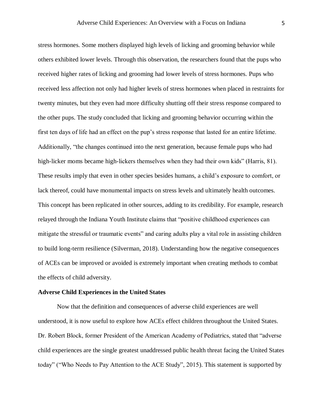stress hormones. Some mothers displayed high levels of licking and grooming behavior while others exhibited lower levels. Through this observation, the researchers found that the pups who received higher rates of licking and grooming had lower levels of stress hormones. Pups who received less affection not only had higher levels of stress hormones when placed in restraints for twenty minutes, but they even had more difficulty shutting off their stress response compared to the other pups. The study concluded that licking and grooming behavior occurring within the first ten days of life had an effect on the pup's stress response that lasted for an entire lifetime. Additionally, "the changes continued into the next generation, because female pups who had high-licker moms became high-lickers themselves when they had their own kids" (Harris, 81). These results imply that even in other species besides humans, a child's exposure to comfort, or lack thereof, could have monumental impacts on stress levels and ultimately health outcomes. This concept has been replicated in other sources, adding to its credibility. For example, research relayed through the Indiana Youth Institute claims that "positive childhood experiences can mitigate the stressful or traumatic events" and caring adults play a vital role in assisting children to build long-term resilience (Silverman, 2018). Understanding how the negative consequences of ACEs can be improved or avoided is extremely important when creating methods to combat the effects of child adversity.

### **Adverse Child Experiences in the United States**

Now that the definition and consequences of adverse child experiences are well understood, it is now useful to explore how ACEs effect children throughout the United States. Dr. Robert Block, former President of the American Academy of Pediatrics, stated that "adverse child experiences are the single greatest unaddressed public health threat facing the United States today" ("Who Needs to Pay Attention to the ACE Study", 2015). This statement is supported by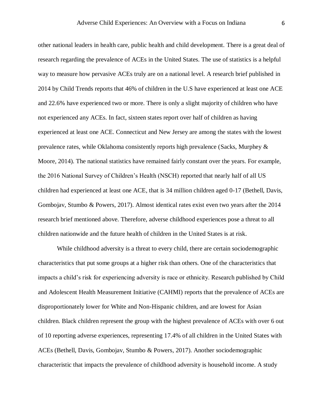other national leaders in health care, public health and child development. There is a great deal of research regarding the prevalence of ACEs in the United States. The use of statistics is a helpful way to measure how pervasive ACEs truly are on a national level. A research brief published in 2014 by Child Trends reports that 46% of children in the U.S have experienced at least one ACE and 22.6% have experienced two or more. There is only a slight majority of children who have not experienced any ACEs. In fact, sixteen states report over half of children as having experienced at least one ACE. Connecticut and New Jersey are among the states with the lowest prevalence rates, while Oklahoma consistently reports high prevalence (Sacks, Murphey & Moore, 2014). The national statistics have remained fairly constant over the years. For example, the 2016 National Survey of Children's Health (NSCH) reported that nearly half of all US children had experienced at least one ACE, that is 34 million children aged 0-17 (Bethell, Davis, Gombojav, Stumbo & Powers, 2017). Almost identical rates exist even two years after the 2014 research brief mentioned above. Therefore, adverse childhood experiences pose a threat to all children nationwide and the future health of children in the United States is at risk.

While childhood adversity is a threat to every child, there are certain sociodemographic characteristics that put some groups at a higher risk than others. One of the characteristics that impacts a child's risk for experiencing adversity is race or ethnicity. Research published by Child and Adolescent Health Measurement Initiative (CAHMI) reports that the prevalence of ACEs are disproportionately lower for White and Non-Hispanic children, and are lowest for Asian children. Black children represent the group with the highest prevalence of ACEs with over 6 out of 10 reporting adverse experiences, representing 17.4% of all children in the United States with ACEs (Bethell, Davis, Gombojav, Stumbo & Powers, 2017). Another sociodemographic characteristic that impacts the prevalence of childhood adversity is household income. A study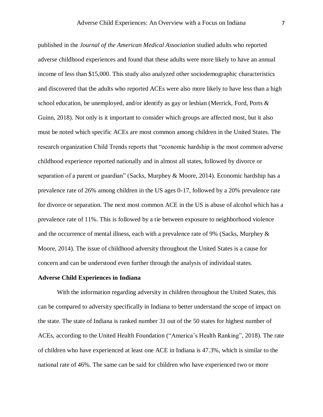published in the *Journal of the American Medical Association* studied adults who reported adverse childhood experiences and found that these adults were more likely to have an annual income of less than \$15,000. This study also analyzed other sociodemographic characteristics and discovered that the adults who reported ACEs were also more likely to have less than a high school education, be unemployed, and/or identify as gay or lesbian (Merrick, Ford, Ports  $\&$ Guinn, 2018). Not only is it important to consider which groups are affected most, but it also must be noted which specific ACEs are most common among children in the United States. The research organization Child Trends reports that "economic hardship is the most common adverse childhood experience reported nationally and in almost all states, followed by divorce or separation of a parent or guardian" (Sacks, Murphey & Moore, 2014). Economic hardship has a prevalence rate of 26% among children in the US ages 0-17, followed by a 20% prevalence rate for divorce or separation. The next most common ACE in the US is abuse of alcohol which has a prevalence rate of 11%. This is followed by a tie between exposure to neighborhood violence and the occurrence of mental illness, each with a prevalence rate of 9% (Sacks, Murphey  $\&$ Moore, 2014). The issue of childhood adversity throughout the United States is a cause for concern and can be understood even further through the analysis of individual states.

### **Adverse Child Experiences in Indiana**

With the information regarding adversity in children throughout the United States, this can be compared to adversity specifically in Indiana to better understand the scope of impact on the state. The state of Indiana is ranked number 31 out of the 50 states for highest number of ACEs, according to the United Health Foundation ("America's Health Ranking", 2018). The rate of children who have experienced at least one ACE in Indiana is 47.3%, which is similar to the national rate of 46%. The same can be said for children who have experienced two or more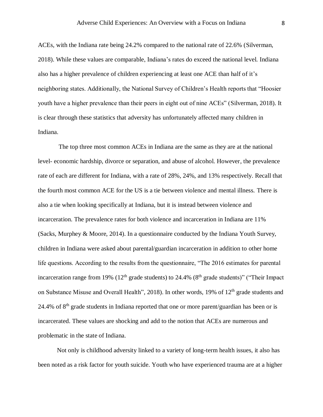ACEs, with the Indiana rate being 24.2% compared to the national rate of 22.6% (Silverman, 2018). While these values are comparable, Indiana's rates do exceed the national level. Indiana also has a higher prevalence of children experiencing at least one ACE than half of it's neighboring states. Additionally, the National Survey of Children's Health reports that "Hoosier youth have a higher prevalence than their peers in eight out of nine ACEs" (Silverman, 2018). It is clear through these statistics that adversity has unfortunately affected many children in Indiana.

The top three most common ACEs in Indiana are the same as they are at the national level- economic hardship, divorce or separation, and abuse of alcohol. However, the prevalence rate of each are different for Indiana, with a rate of 28%, 24%, and 13% respectively. Recall that the fourth most common ACE for the US is a tie between violence and mental illness. There is also a tie when looking specifically at Indiana, but it is instead between violence and incarceration. The prevalence rates for both violence and incarceration in Indiana are 11% (Sacks, Murphey & Moore, 2014). In a questionnaire conducted by the Indiana Youth Survey, children in Indiana were asked about parental/guardian incarceration in addition to other home life questions. According to the results from the questionnaire, "The 2016 estimates for parental incarceration range from 19% ( $12<sup>th</sup>$  grade students) to 24.4% ( $8<sup>th</sup>$  grade students)" ("Their Impact on Substance Misuse and Overall Health", 2018). In other words, 19% of  $12<sup>th</sup>$  grade students and 24.4% of  $8<sup>th</sup>$  grade students in Indiana reported that one or more parent/guardian has been or is incarcerated. These values are shocking and add to the notion that ACEs are numerous and problematic in the state of Indiana.

Not only is childhood adversity linked to a variety of long-term health issues, it also has been noted as a risk factor for youth suicide. Youth who have experienced trauma are at a higher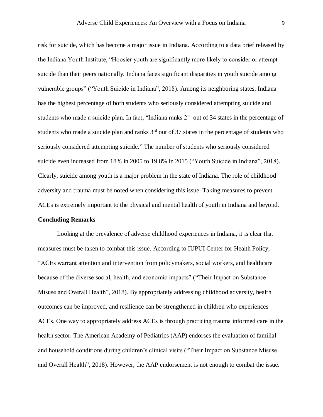risk for suicide, which has become a major issue in Indiana. According to a data brief released by the Indiana Youth Institute, "Hoosier youth are significantly more likely to consider or attempt suicide than their peers nationally. Indiana faces significant disparities in youth suicide among vulnerable groups" ("Youth Suicide in Indiana", 2018). Among its neighboring states, Indiana has the highest percentage of both students who seriously considered attempting suicide and students who made a suicide plan. In fact, "Indiana ranks 2<sup>nd</sup> out of 34 states in the percentage of students who made a suicide plan and ranks  $3<sup>rd</sup>$  out of 37 states in the percentage of students who seriously considered attempting suicide." The number of students who seriously considered suicide even increased from 18% in 2005 to 19.8% in 2015 ("Youth Suicide in Indiana", 2018). Clearly, suicide among youth is a major problem in the state of Indiana. The role of childhood adversity and trauma must be noted when considering this issue. Taking measures to prevent ACEs is extremely important to the physical and mental health of youth in Indiana and beyond.

## **Concluding Remarks**

Looking at the prevalence of adverse childhood experiences in Indiana, it is clear that measures must be taken to combat this issue. According to IUPUI Center for Health Policy, "ACEs warrant attention and intervention from policymakers, social workers, and healthcare because of the diverse social, health, and economic impacts" ("Their Impact on Substance Misuse and Overall Health", 2018). By appropriately addressing childhood adversity, health outcomes can be improved, and resilience can be strengthened in children who experiences ACEs. One way to appropriately address ACEs is through practicing trauma informed care in the health sector. The American Academy of Pediatrics (AAP) endorses the evaluation of familial and household conditions during children's clinical visits ("Their Impact on Substance Misuse and Overall Health", 2018). However, the AAP endorsement is not enough to combat the issue.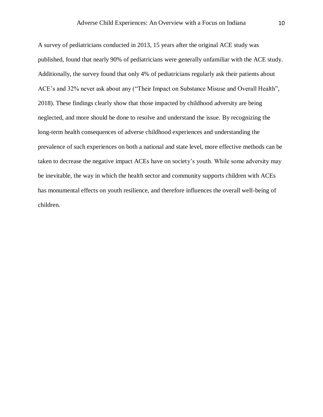A survey of pediatricians conducted in 2013, 15 years after the original ACE study was published, found that nearly 90% of pediatricians were generally unfamiliar with the ACE study. Additionally, the survey found that only 4% of pediatricians regularly ask their patients about ACE's and 32% never ask about any ("Their Impact on Substance Misuse and Overall Health", 2018). These findings clearly show that those impacted by childhood adversity are being neglected, and more should be done to resolve and understand the issue. By recognizing the long-term health consequences of adverse childhood experiences and understanding the prevalence of such experiences on both a national and state level, more effective methods can be taken to decrease the negative impact ACEs have on society's youth. While some adversity may be inevitable, the way in which the health sector and community supports children with ACEs has monumental effects on youth resilience, and therefore influences the overall well-being of children.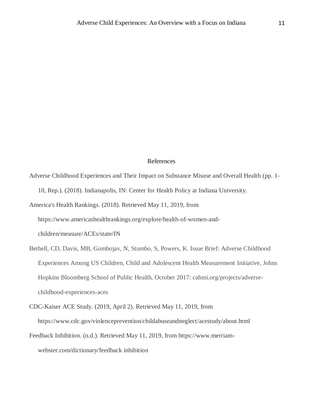#### References

- Adverse Childhood Experiences and Their Impact on Substance Misuse and Overall Health (pp. 1- 10, Rep.). (2018). Indianapolis, IN: Center for Health Policy at Indiana University.
- America's Health Rankings. (2018). Retrieved May 11, 2019, from

https://www.americashealthrankings.org/explore/health-of-women-and-

children/measure/ACEs/state/IN

- Bethell, CD, Davis, MB, Gombojav, N, Stumbo, S, Powers, K. Issue Brief: Adverse Childhood Experiences Among US Children, Child and Adolescent Health Measurement Initiative, Johns Hopkins Bloomberg School of Public Health, October 2017: cahmi.org/projects/adversechildhood-experiences-aces
- CDC-Kaiser ACE Study. (2019, April 2). Retrieved May 11, 2019, from https://www.cdc.gov/violenceprevention/childabuseandneglect/acestudy/about.html
- Feedback Inhibition. (n.d.). Retrieved May 11, 2019, from https://www.merriamwebster.com/dictionary/feedback inhibition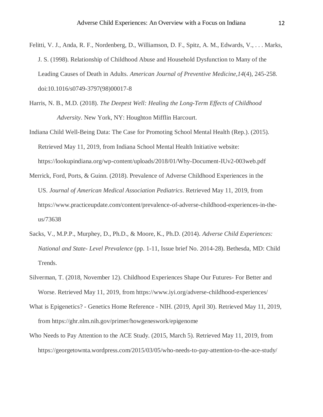- Felitti, V. J., Anda, R. F., Nordenberg, D., Williamson, D. F., Spitz, A. M., Edwards, V., . . . Marks, J. S. (1998). Relationship of Childhood Abuse and Household Dysfunction to Many of the Leading Causes of Death in Adults. *American Journal of Preventive Medicine,14*(4), 245-258. doi:10.1016/s0749-3797(98)00017-8
- Harris, N. B., M.D. (2018). *The Deepest Well: Healing the Long-Term Effects of Childhood Adversity*. New York, NY: Houghton Mifflin Harcourt.
- Indiana Child Well-Being Data: The Case for Promoting School Mental Health (Rep.). (2015). Retrieved May 11, 2019, from Indiana School Mental Health Initiative website: https://lookupindiana.org/wp-content/uploads/2018/01/Why-Document-IUv2-003web.pdf
- Merrick, Ford, Ports, & Guinn. (2018). Prevalence of Adverse Childhood Experiences in the US. *Journal of American Medical Association Pediatrics*. Retrieved May 11, 2019, from https://www.practiceupdate.com/content/prevalence-of-adverse-childhood-experiences-in-theus/73638
- Sacks, V., M.P.P., Murphey, D., Ph.D., & Moore, K., Ph.D. (2014). *Adverse Child Experiences: National and State- Level Prevalence* (pp. 1-11, Issue brief No. 2014-28). Bethesda, MD: Child Trends.
- Silverman, T. (2018, November 12). Childhood Experiences Shape Our Futures- For Better and Worse. Retrieved May 11, 2019, from https://www.iyi.org/adverse-childhood-experiences/
- What is Epigenetics? Genetics Home Reference NIH. (2019, April 30). Retrieved May 11, 2019, from https://ghr.nlm.nih.gov/primer/howgeneswork/epigenome
- Who Needs to Pay Attention to the ACE Study. (2015, March 5). Retrieved May 11, 2019, from https://georgetownta.wordpress.com/2015/03/05/who-needs-to-pay-attention-to-the-ace-study/